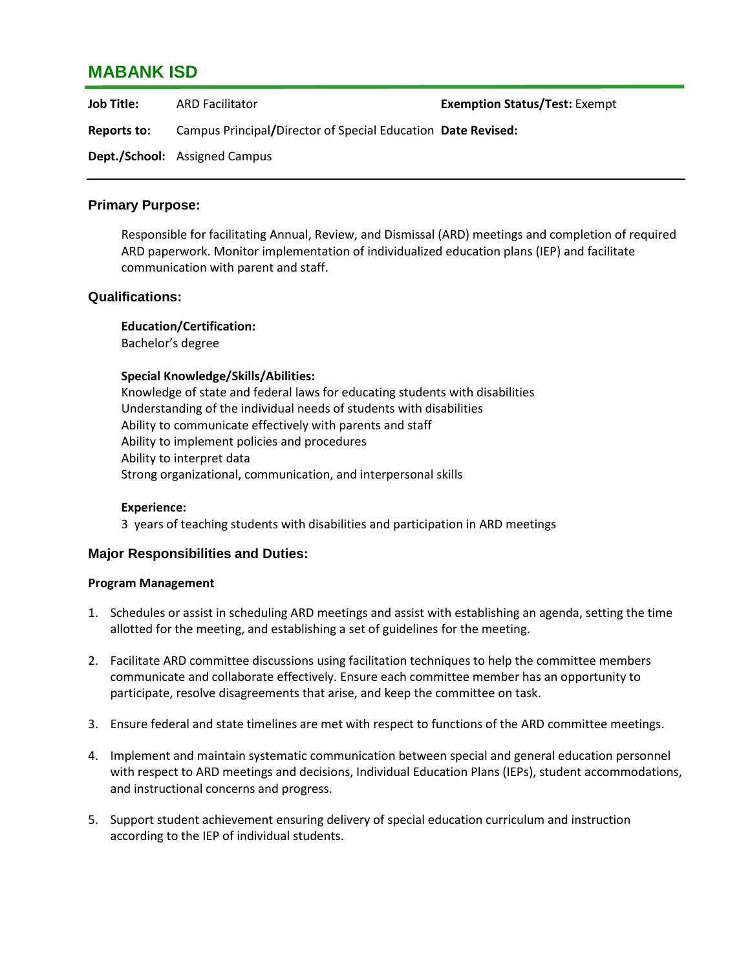# **MABANK ISD**

**Job Title:** ARD Facilitator **Exemption Status/Test:** Exempt

**Reports to:** Campus Principal**/**Director of Special Education **Date Revised:**

**Dept./School:** Assigned Campus

# **Primary Purpose:**

Responsible for facilitating Annual, Review, and Dismissal (ARD) meetings and completion of required ARD paperwork. Monitor implementation of individualized education plans (IEP) and facilitate communication with parent and staff.

# **Qualifications:**

**Education/Certification:**

Bachelor's degree

## **Special Knowledge/Skills/Abilities:**

Knowledge of state and federal laws for educating students with disabilities Understanding of the individual needs of students with disabilities Ability to communicate effectively with parents and staff Ability to implement policies and procedures Ability to interpret data Strong organizational, communication, and interpersonal skills

## **Experience:**

3 years of teaching students with disabilities and participation in ARD meetings

## **Major Responsibilities and Duties:**

## **Program Management**

- 1. Schedules or assist in scheduling ARD meetings and assist with establishing an agenda, setting the time allotted for the meeting, and establishing a set of guidelines for the meeting.
- 2. Facilitate ARD committee discussions using facilitation techniques to help the committee members communicate and collaborate effectively. Ensure each committee member has an opportunity to participate, resolve disagreements that arise, and keep the committee on task.
- 3. Ensure federal and state timelines are met with respect to functions of the ARD committee meetings.
- 4. Implement and maintain systematic communication between special and general education personnel with respect to ARD meetings and decisions, Individual Education Plans (IEPs), student accommodations, and instructional concerns and progress.
- 5. Support student achievement ensuring delivery of special education curriculum and instruction according to the IEP of individual students.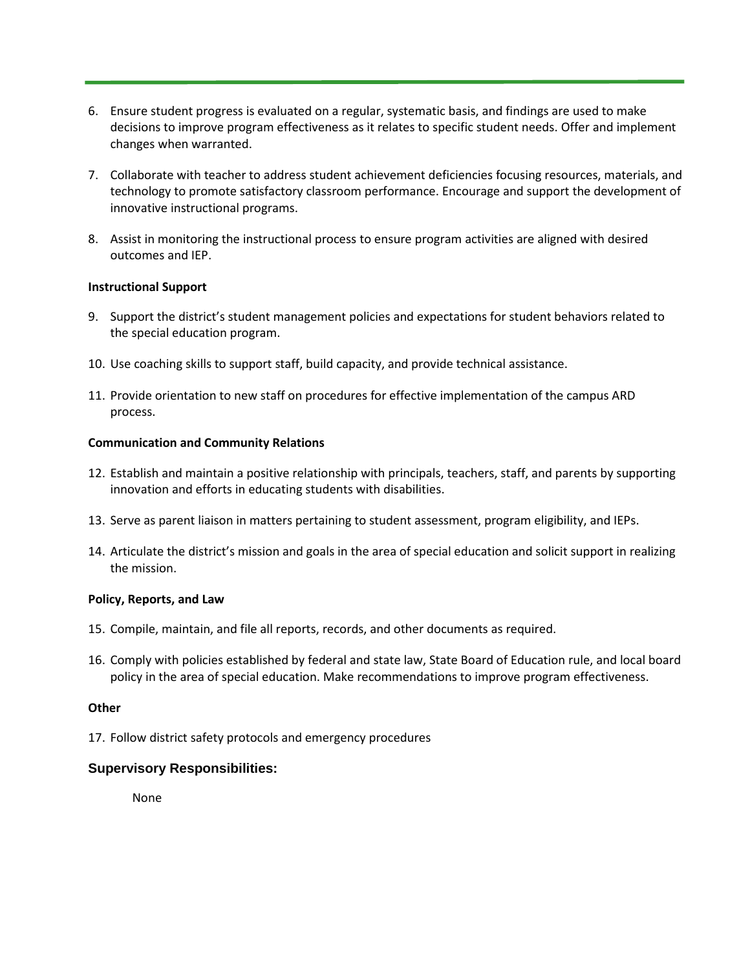- 6. Ensure student progress is evaluated on a regular, systematic basis, and findings are used to make decisions to improve program effectiveness as it relates to specific student needs. Offer and implement changes when warranted.
- 7. Collaborate with teacher to address student achievement deficiencies focusing resources, materials, and technology to promote satisfactory classroom performance. Encourage and support the development of innovative instructional programs.
- 8. Assist in monitoring the instructional process to ensure program activities are aligned with desired outcomes and IEP.

## **Instructional Support**

- 9. Support the district's student management policies and expectations for student behaviors related to the special education program.
- 10. Use coaching skills to support staff, build capacity, and provide technical assistance.
- 11. Provide orientation to new staff on procedures for effective implementation of the campus ARD process.

#### **Communication and Community Relations**

- 12. Establish and maintain a positive relationship with principals, teachers, staff, and parents by supporting innovation and efforts in educating students with disabilities.
- 13. Serve as parent liaison in matters pertaining to student assessment, program eligibility, and IEPs.
- 14. Articulate the district's mission and goals in the area of special education and solicit support in realizing the mission.

#### **Policy, Reports, and Law**

- 15. Compile, maintain, and file all reports, records, and other documents as required.
- 16. Comply with policies established by federal and state law, State Board of Education rule, and local board policy in the area of special education. Make recommendations to improve program effectiveness.

## **Other**

17. Follow district safety protocols and emergency procedures

## **Supervisory Responsibilities:**

None